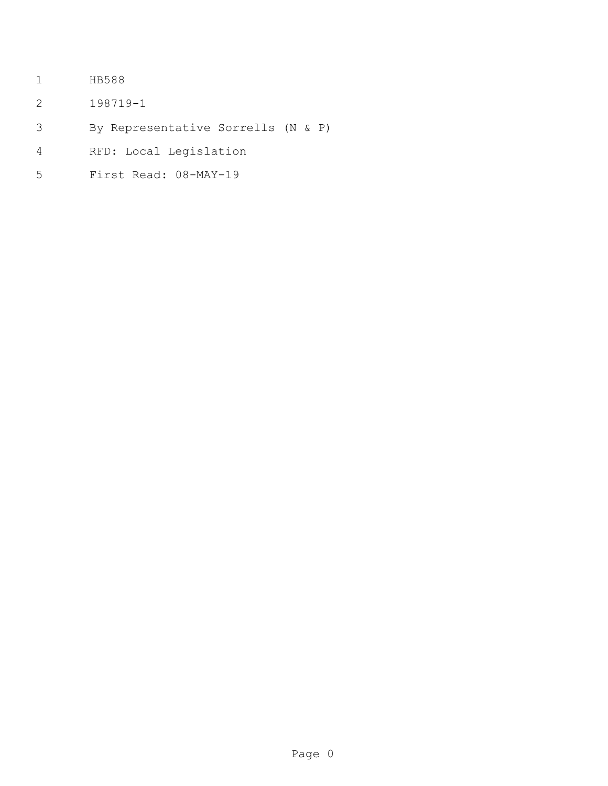- HB588
- 198719-1
- By Representative Sorrells (N & P)
- RFD: Local Legislation
- First Read: 08-MAY-19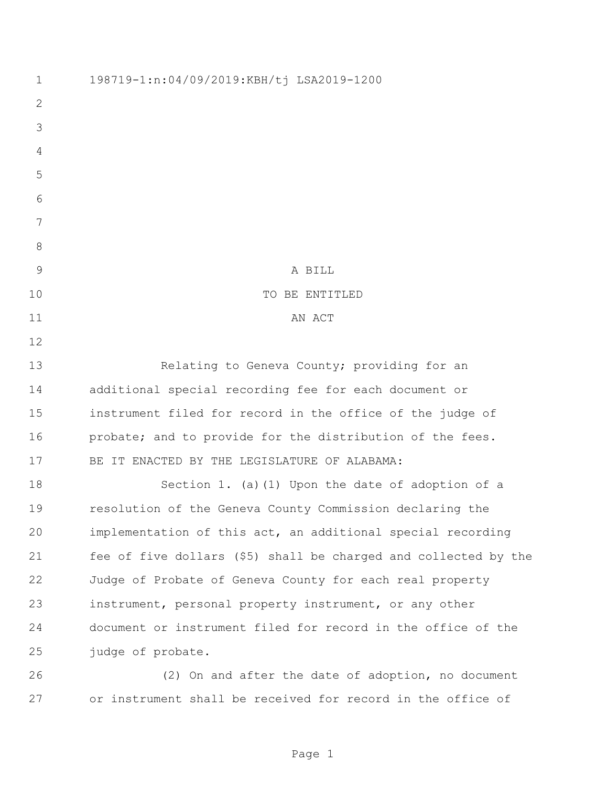198719-1:n:04/09/2019:KBH/tj LSA2019-1200 9 A BILL 10 TO BE ENTITLED 11 AN ACT 13 Relating to Geneva County; providing for an additional special recording fee for each document or instrument filed for record in the office of the judge of 16 probate; and to provide for the distribution of the fees. BE IT ENACTED BY THE LEGISLATURE OF ALABAMA: Section 1. (a)(1) Upon the date of adoption of a resolution of the Geneva County Commission declaring the implementation of this act, an additional special recording fee of five dollars (\$5) shall be charged and collected by the Judge of Probate of Geneva County for each real property instrument, personal property instrument, or any other document or instrument filed for record in the office of the judge of probate. (2) On and after the date of adoption, no document

or instrument shall be received for record in the office of